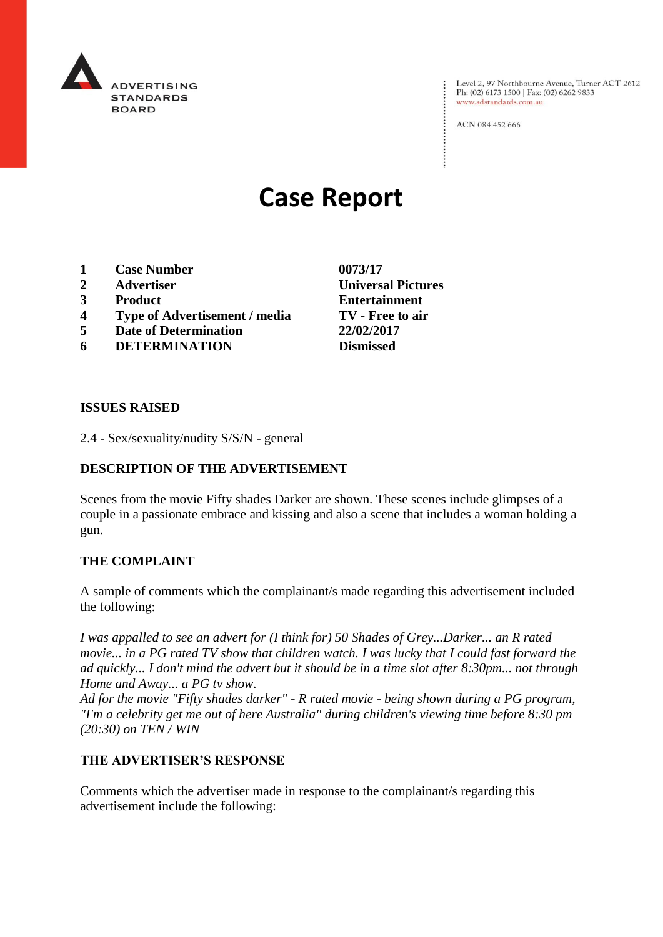

Level 2, 97 Northbourne Avenue, Turner ACT 2612<br>Ph: (02) 6173 1500 | Fax: (02) 6262 9833 www.adstandards.com.au

ACN 084 452 666

# **Case Report**

- **1 Case Number 0073/17**
- **2 Advertiser Universal Pictures**
- **3 Product Entertainment**
- **4 Type of Advertisement / media TV - Free to air**
- **5 Date of Determination 22/02/2017**
- **6 DETERMINATION Dismissed**

**ISSUES RAISED**

2.4 - Sex/sexuality/nudity S/S/N - general

## **DESCRIPTION OF THE ADVERTISEMENT**

Scenes from the movie Fifty shades Darker are shown. These scenes include glimpses of a couple in a passionate embrace and kissing and also a scene that includes a woman holding a gun.

#### **THE COMPLAINT**

A sample of comments which the complainant/s made regarding this advertisement included the following:

*I was appalled to see an advert for (I think for) 50 Shades of Grey...Darker... an R rated movie... in a PG rated TV show that children watch. I was lucky that I could fast forward the ad quickly... I don't mind the advert but it should be in a time slot after 8:30pm... not through Home and Away... a PG tv show.*

*Ad for the movie "Fifty shades darker" - R rated movie - being shown during a PG program, "I'm a celebrity get me out of here Australia" during children's viewing time before 8:30 pm (20:30) on TEN / WIN*

#### **THE ADVERTISER'S RESPONSE**

Comments which the advertiser made in response to the complainant/s regarding this advertisement include the following: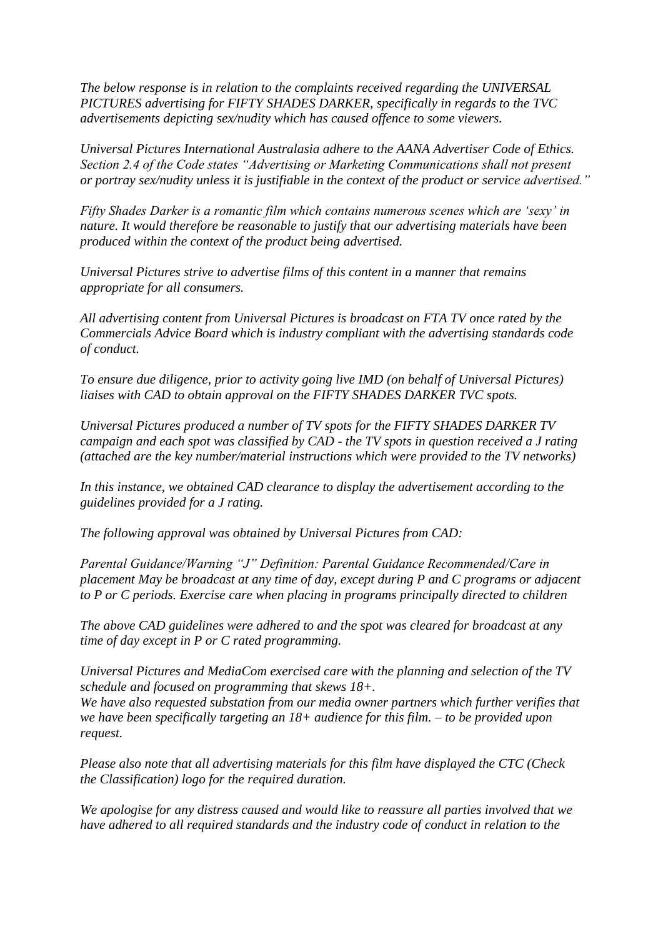*The below response is in relation to the complaints received regarding the UNIVERSAL PICTURES advertising for FIFTY SHADES DARKER, specifically in regards to the TVC advertisements depicting sex/nudity which has caused offence to some viewers.*

*Universal Pictures International Australasia adhere to the AANA Advertiser Code of Ethics. Section 2.4 of the Code states "Advertising or Marketing Communications shall not present or portray sex/nudity unless it is justifiable in the context of the product or service advertised."*

*Fifty Shades Darker is a romantic film which contains numerous scenes which are 'sexy' in nature. It would therefore be reasonable to justify that our advertising materials have been produced within the context of the product being advertised.*

*Universal Pictures strive to advertise films of this content in a manner that remains appropriate for all consumers.*

*All advertising content from Universal Pictures is broadcast on FTA TV once rated by the Commercials Advice Board which is industry compliant with the advertising standards code of conduct.*

*To ensure due diligence, prior to activity going live IMD (on behalf of Universal Pictures) liaises with CAD to obtain approval on the FIFTY SHADES DARKER TVC spots.*

*Universal Pictures produced a number of TV spots for the FIFTY SHADES DARKER TV campaign and each spot was classified by CAD - the TV spots in question received a J rating (attached are the key number/material instructions which were provided to the TV networks)*

*In this instance, we obtained CAD clearance to display the advertisement according to the guidelines provided for a J rating.*

*The following approval was obtained by Universal Pictures from CAD:*

*Parental Guidance/Warning "J" Definition: Parental Guidance Recommended/Care in placement May be broadcast at any time of day, except during P and C programs or adjacent to P or C periods. Exercise care when placing in programs principally directed to children*

*The above CAD guidelines were adhered to and the spot was cleared for broadcast at any time of day except in P or C rated programming.*

*Universal Pictures and MediaCom exercised care with the planning and selection of the TV schedule and focused on programming that skews 18+.*

*We have also requested substation from our media owner partners which further verifies that we have been specifically targeting an 18+ audience for this film. – to be provided upon request.*

*Please also note that all advertising materials for this film have displayed the CTC (Check the Classification) logo for the required duration.*

*We apologise for any distress caused and would like to reassure all parties involved that we have adhered to all required standards and the industry code of conduct in relation to the*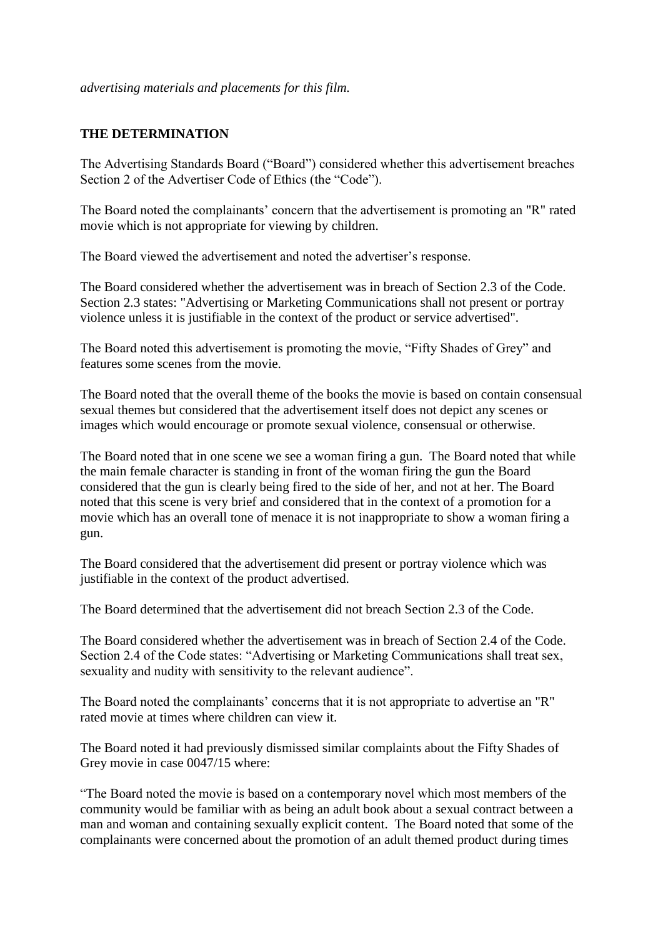### **THE DETERMINATION**

The Advertising Standards Board ("Board") considered whether this advertisement breaches Section 2 of the Advertiser Code of Ethics (the "Code").

The Board noted the complainants' concern that the advertisement is promoting an "R" rated movie which is not appropriate for viewing by children.

The Board viewed the advertisement and noted the advertiser's response.

The Board considered whether the advertisement was in breach of Section 2.3 of the Code. Section 2.3 states: "Advertising or Marketing Communications shall not present or portray violence unless it is justifiable in the context of the product or service advertised".

The Board noted this advertisement is promoting the movie, "Fifty Shades of Grey" and features some scenes from the movie.

The Board noted that the overall theme of the books the movie is based on contain consensual sexual themes but considered that the advertisement itself does not depict any scenes or images which would encourage or promote sexual violence, consensual or otherwise.

The Board noted that in one scene we see a woman firing a gun. The Board noted that while the main female character is standing in front of the woman firing the gun the Board considered that the gun is clearly being fired to the side of her, and not at her. The Board noted that this scene is very brief and considered that in the context of a promotion for a movie which has an overall tone of menace it is not inappropriate to show a woman firing a gun.

The Board considered that the advertisement did present or portray violence which was justifiable in the context of the product advertised.

The Board determined that the advertisement did not breach Section 2.3 of the Code.

The Board considered whether the advertisement was in breach of Section 2.4 of the Code. Section 2.4 of the Code states: "Advertising or Marketing Communications shall treat sex, sexuality and nudity with sensitivity to the relevant audience".

The Board noted the complainants' concerns that it is not appropriate to advertise an "R" rated movie at times where children can view it.

The Board noted it had previously dismissed similar complaints about the Fifty Shades of Grey movie in case 0047/15 where:

"The Board noted the movie is based on a contemporary novel which most members of the community would be familiar with as being an adult book about a sexual contract between a man and woman and containing sexually explicit content. The Board noted that some of the complainants were concerned about the promotion of an adult themed product during times